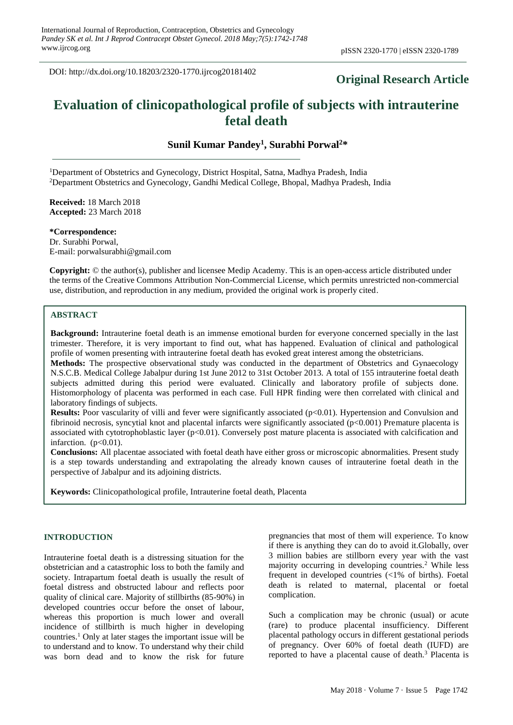DOI: http://dx.doi.org/10.18203/2320-1770.ijrcog20181402

# **Original Research Article**

# **Evaluation of clinicopathological profile of subjects with intrauterine fetal death**

**Sunil Kumar Pandey<sup>1</sup> , Surabhi Porwal<sup>2</sup>\***

<sup>1</sup>Department of Obstetrics and Gynecology, District Hospital, Satna, Madhya Pradesh, India <sup>2</sup>Department Obstetrics and Gynecology, Gandhi Medical College, Bhopal, Madhya Pradesh, India

**Received:** 18 March 2018 **Accepted:** 23 March 2018

**\*Correspondence:** Dr. Surabhi Porwal, E-mail: porwalsurabhi@gmail.com

**Copyright:** © the author(s), publisher and licensee Medip Academy. This is an open-access article distributed under the terms of the Creative Commons Attribution Non-Commercial License, which permits unrestricted non-commercial use, distribution, and reproduction in any medium, provided the original work is properly cited.

# **ABSTRACT**

**Background:** Intrauterine foetal death is an immense emotional burden for everyone concerned specially in the last trimester. Therefore, it is very important to find out, what has happened. Evaluation of clinical and pathological profile of women presenting with intrauterine foetal death has evoked great interest among the obstetricians.

**Methods:** The prospective observational study was conducted in the department of Obstetrics and Gynaecology N.S.C.B. Medical College Jabalpur during 1st June 2012 to 31st October 2013. A total of 155 intrauterine foetal death subjects admitted during this period were evaluated. Clinically and laboratory profile of subjects done. Histomorphology of placenta was performed in each case. Full HPR finding were then correlated with clinical and laboratory findings of subjects.

**Results:** Poor vascularity of villi and fever were significantly associated (p<0.01). Hypertension and Convulsion and fibrinoid necrosis, syncytial knot and placental infarcts were significantly associated (p<0.001) Premature placenta is associated with cytotrophoblastic layer  $(p<0.01)$ . Conversely post mature placenta is associated with calcification and infarction.  $(p<0.01)$ .

**Conclusions:** All placentae associated with foetal death have either gross or microscopic abnormalities. Present study is a step towards understanding and extrapolating the already known causes of intrauterine foetal death in the perspective of Jabalpur and its adjoining districts.

**Keywords:** Clinicopathological profile, Intrauterine foetal death, Placenta

#### **INTRODUCTION**

Intrauterine foetal death is a distressing situation for the obstetrician and a catastrophic loss to both the family and society. Intrapartum foetal death is usually the result of foetal distress and obstructed labour and reflects poor quality of clinical care. Majority of stillbirths (85-90%) in developed countries occur before the onset of labour, whereas this proportion is much lower and overall incidence of stillbirth is much higher in developing countries.<sup>1</sup> Only at later stages the important issue will be to understand and to know. To understand why their child was born dead and to know the risk for future pregnancies that most of them will experience. To know if there is anything they can do to avoid it.Globally, over 3 million babies are stillborn every year with the vast majority occurring in developing countries.<sup>2</sup> While less frequent in developed countries (<1% of births). Foetal death is related to maternal, placental or foetal complication.

Such a complication may be chronic (usual) or acute (rare) to produce placental insufficiency. Different placental pathology occurs in different gestational periods of pregnancy. Over 60% of foetal death (IUFD) are reported to have a placental cause of death.<sup>3</sup> Placenta is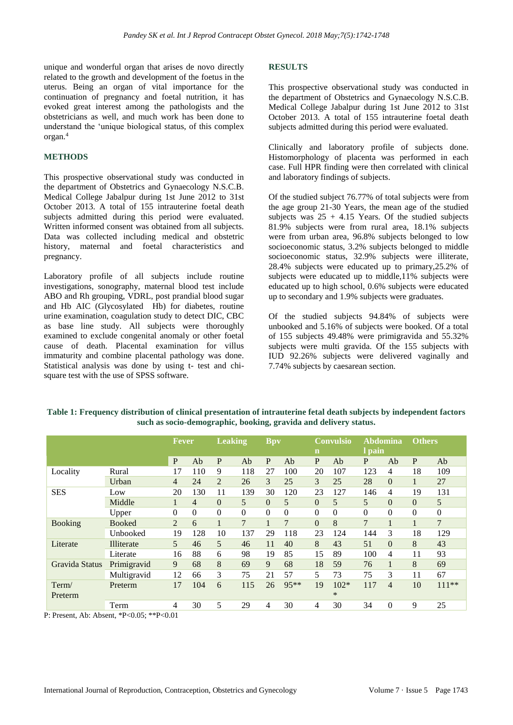unique and wonderful organ that arises de novo directly related to the growth and development of the foetus in the uterus. Being an organ of vital importance for the continuation of pregnancy and foetal nutrition, it has evoked great interest among the pathologists and the obstetricians as well, and much work has been done to understand the 'unique biological status, of this complex organ.<sup>4</sup>

#### **METHODS**

This prospective observational study was conducted in the department of Obstetrics and Gynaecology N.S.C.B. Medical College Jabalpur during 1st June 2012 to 31st October 2013. A total of 155 intrauterine foetal death subjects admitted during this period were evaluated. Written informed consent was obtained from all subjects. Data was collected including medical and obstetric history, maternal and foetal characteristics and pregnancy.

Laboratory profile of all subjects include routine investigations, sonography, maternal blood test include ABO and Rh grouping, VDRL, post prandial blood sugar and Hb AIC (Glycosylated Hb) for diabetes, routine urine examination, coagulation study to detect DIC, CBC as base line study. All subjects were thoroughly examined to exclude congenital anomaly or other foetal cause of death. Placental examination for villus immaturity and combine placental pathology was done. Statistical analysis was done by using t- test and chisquare test with the use of SPSS software.

# **RESULTS**

This prospective observational study was conducted in the department of Obstetrics and Gynaecology N.S.C.B. Medical College Jabalpur during 1st June 2012 to 31st October 2013. A total of 155 intrauterine foetal death subjects admitted during this period were evaluated.

Clinically and laboratory profile of subjects done. Histomorphology of placenta was performed in each case. Full HPR finding were then correlated with clinical and laboratory findings of subjects.

Of the studied subject 76.77% of total subjects were from the age group 21-30 Years, the mean age of the studied subjects was  $25 + 4.15$  Years. Of the studied subjects 81.9% subjects were from rural area, 18.1% subjects were from urban area, 96.8% subjects belonged to low socioeconomic status, 3.2% subjects belonged to middle socioeconomic status, 32.9% subjects were illiterate, 28.4% subjects were educated up to primary,25.2% of subjects were educated up to middle,11% subjects were educated up to high school, 0.6% subjects were educated up to secondary and 1.9% subjects were graduates.

Of the studied subjects 94.84% of subjects were unbooked and 5.16% of subjects were booked. Of a total of 155 subjects 49.48% were primigravida and 55.32% subjects were multi gravida. Of the 155 subjects with IUD 92.26% subjects were delivered vaginally and 7.74% subjects by caesarean section.

|                  |               |                | Fever          |                      | <b>Leaking</b> |          | <b>Bpv</b> |                | Convulsio<br>$\mathbf n$ |                | Abdomina<br>1 pain |          | <b>Others</b> |  |
|------------------|---------------|----------------|----------------|----------------------|----------------|----------|------------|----------------|--------------------------|----------------|--------------------|----------|---------------|--|
|                  |               | $\mathbf{P}$   | Ab             | P                    | Ab             | P        | Ab         | P              | Ab                       | P              | Ab                 | P        | Ab            |  |
| Locality         | Rural         | 17             | 110            | 9                    | 118            | 27       | 100        | 20             | 107                      | 123            | 4                  | 18       | 109           |  |
|                  | Urban         | 4              | 24             | 2                    | 26             | 3        | 25         | 3              | 25                       | 28             | $\Omega$           |          | 27            |  |
| <b>SES</b>       | Low           | 20             | 130            | 11                   | 139            | 30       | 120        | 23             | 127                      | 146            | 4                  | 19       | 131           |  |
|                  | Middle        | 1              | $\overline{4}$ | $\Omega$             | 5              | $\Omega$ | 5          | $\Omega$       | 5                        | 5              | $\Omega$           | $\Omega$ | 5             |  |
|                  | Upper         | $\overline{0}$ | $\overline{0}$ | $\overline{0}$       | $\theta$       | $\theta$ | $\Omega$   | $\overline{0}$ | $\overline{0}$           | $\overline{0}$ | $\theta$           | $\Omega$ | $\theta$      |  |
| <b>Booking</b>   | <b>Booked</b> | 2              | 6              | $\blacktriangleleft$ | 7              |          | 7          | $\Omega$       | 8                        | $\overline{7}$ |                    |          | 7             |  |
|                  | Unbooked      | 19             | 128            | 10                   | 137            | 29       | 118        | 23             | 124                      | 144            | 3                  | 18       | 129           |  |
| Literate         | Illiterate    | $\overline{5}$ | 46             | 5                    | 46             | 11       | 40         | 8              | 43                       | 51             | $\Omega$           | 8        | 43            |  |
|                  | Literate      | 16             | 88             | 6                    | 98             | 19       | 85         | 15             | 89                       | 100            | 4                  | 11       | 93            |  |
| Gravida Status   | Primigravid   | 9              | 68             | 8                    | 69             | 9        | 68         | 18             | 59                       | 76             |                    | 8        | 69            |  |
|                  | Multigravid   | 12             | 66             | 3                    | 75             | 21       | 57         | 5              | 73                       | 75             | 3                  | 11       | 67            |  |
| Term/<br>Preterm | Preterm       | 17             | 104            | 6                    | 115            | 26       | $95**$     | 19             | $102*$<br>$\ast$         | 117            | $\overline{4}$     | 10       | $111**$       |  |
|                  | Term          | 4              | 30             | 5                    | 29             | 4        | 30         | 4              | 30                       | 34             | $\Omega$           | 9        | 25            |  |

**Table 1: Frequency distribution of clinical presentation of intrauterine fetal death subjects by independent factors such as socio-demographic, booking, gravida and delivery status.**

P: Present, Ab: Absent, \*P<0.05; \*\*P<0.01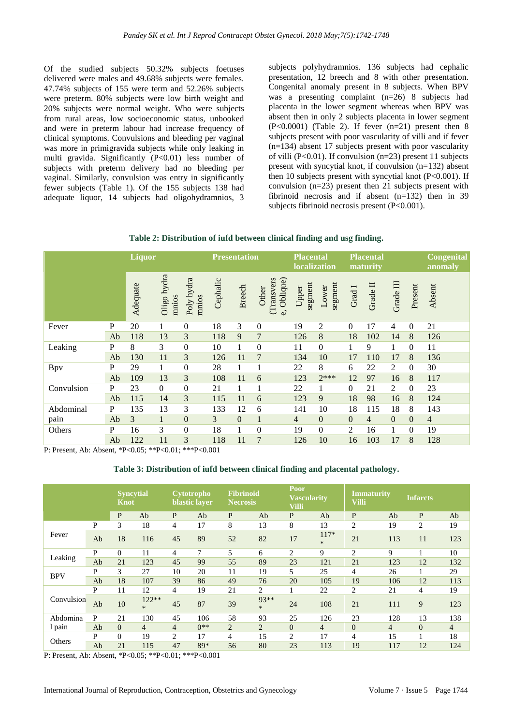Of the studied subjects 50.32% subjects foetuses delivered were males and 49.68% subjects were females. 47.74% subjects of 155 were term and 52.26% subjects were preterm. 80% subjects were low birth weight and 20% subjects were normal weight. Who were subjects from rural areas, low socioeconomic status, unbooked and were in preterm labour had increase frequency of clinical symptoms. Convulsions and bleeding per vaginal was more in primigravida subjects while only leaking in multi gravida. Significantly (P<0.01) less number of subjects with preterm delivery had no bleeding per vaginal. Similarly, convulsion was entry in significantly fewer subjects (Table 1). Of the 155 subjects 138 had adequate liquor, 14 subjects had oligohydramnios, 3

subjects polyhydramnios. 136 subjects had cephalic presentation, 12 breech and 8 with other presentation. Congenital anomaly present in 8 subjects. When BPV was a presenting complaint (n=26) 8 subjects had placenta in the lower segment whereas when BPV was absent then in only 2 subjects placenta in lower segment  $(P<0.0001)$  (Table 2). If fever  $(n=21)$  present then 8 subjects present with poor vascularity of villi and if fever (n=134) absent 17 subjects present with poor vascularity of villi ( $P<0.01$ ). If convulsion ( $n=23$ ) present 11 subjects present with syncytial knot, if convulsion (n=132) absent then 10 subjects present with syncytial knot  $(P<0.001)$ . If convulsion (n=23) present then 21 subjects present with fibrinoid necrosis and if absent (n=132) then in 39 subjects fibrinoid necrosis present (P<0.001).

|  | Table 2: Distribution of iufd between clinical finding and usg finding. |  |  |  |
|--|-------------------------------------------------------------------------|--|--|--|
|--|-------------------------------------------------------------------------|--|--|--|

|            |    | <b>Liquor</b> |                      |                     |          | <b>Presentation</b> | <b>Placental</b><br><b>localization</b> |                  | <b>Placental</b><br>maturity |                  |                |                | <b>Congenital</b><br>anomaly |                |
|------------|----|---------------|----------------------|---------------------|----------|---------------------|-----------------------------------------|------------------|------------------------------|------------------|----------------|----------------|------------------------------|----------------|
|            |    | Adequate      | Oligo hydra<br>mnios | Poly hydra<br>mnios | Cephalic | <b>Breech</b>       | Oblique)<br>(Transvers<br>Other<br>C,   | segment<br>Upper | segment<br>Lower             | Grad I           | Grade II       | Grade III      | Present                      | Absent         |
| Fever      | P  | 20            | 1                    | $\mathbf{0}$        | 18       | 3                   | $\boldsymbol{0}$                        | 19               | $\overline{2}$               | $\boldsymbol{0}$ | 17             | $\overline{4}$ | $\boldsymbol{0}$             | 21             |
|            | Ab | 118           | 13                   | 3                   | 118      | 9                   | 7                                       | 126              | 8                            | 18               | 102            | 14             | 8                            | 126            |
| Leaking    | P  | 8             | 3                    | $\mathbf{0}$        | 10       | $\mathbf{1}$        | $\mathbf{0}$                            | 11               | $\boldsymbol{0}$             | 1                | 9              | 1              | $\mathbf{0}$                 | 11             |
|            | Ab | 130           | 11                   | 3                   | 126      | 11                  | 7                                       | 134              | 10                           | 17               | 110            | 17             | 8                            | 136            |
| Bpv        | P  | 29            | 1                    | $\mathbf{0}$        | 28       | 1                   |                                         | 22               | 8                            | 6                | 22             | 2              | $\boldsymbol{0}$             | 30             |
|            | Ab | 109           | 13                   | 3                   | 108      | 11                  | 6                                       | 123              | $2***$                       | 12               | 97             | 16             | 8                            | 117            |
| Convulsion | P  | 23            | $\boldsymbol{0}$     | $\mathbf{0}$        | 21       | $\mathbf{1}$        |                                         | 22               | 1                            | $\mathbf{0}$     | 21             | 2              | $\mathbf{0}$                 | 23             |
|            | Ab | 115           | 14                   | 3                   | 115      | 11                  | 6                                       | 123              | 9                            | 18               | 98             | 16             | 8                            | 124            |
| Abdominal  | P  | 135           | 13                   | 3                   | 133      | 12                  | 6                                       | 141              | 10                           | 18               | 115            | 18             | 8                            | 143            |
| pain       | Ab | 3             | $\mathbf{1}$         | $\overline{0}$      | 3        | $\mathbf{0}$        | $\mathbf{1}$                            | 4                | $\mathbf{0}$                 | $\theta$         | $\overline{4}$ | $\overline{0}$ | $\theta$                     | $\overline{4}$ |
| Others     | P  | 16            | 3                    | $\Omega$            | 18       | $\mathbf{1}$        | $\mathbf{0}$                            | 19               | $\boldsymbol{0}$             | 2                | 16             |                | $\overline{0}$               | 19             |
|            | Ab | 122           | 11                   | 3                   | 118      | 11                  | $\overline{7}$                          | 126              | 10                           | 16               | 103            | 17             | 8                            | 128            |

P: Present, Ab: Absent, \*P<0.05; \*\*P<0.01; \*\*\*P<0.001

#### **Table 3: Distribution of iufd between clinical finding and placental pathology.**

|            |    | <b>Syncytial</b><br><b>Knot</b> |                   | Cytotropho<br>blastic laver |       | <b>Fibrinoid</b><br><b>Necrosis</b> |                | Poor<br><b>Vascularity</b><br><b>Villi</b> |                  | <b>Immaturity</b><br><b>Villi</b> |     | <b>Infarcts</b> |     |
|------------|----|---------------------------------|-------------------|-----------------------------|-------|-------------------------------------|----------------|--------------------------------------------|------------------|-----------------------------------|-----|-----------------|-----|
|            |    | $\mathbf{P}$                    | Ab                | P                           | Ab    | $\mathbf{P}$                        | Ab             | $\mathbf{P}$                               | Ab               | P                                 | Ab  | $\mathbf{P}$    | Ab  |
|            | P  | 3                               | 18                | 4                           | 17    | 8                                   | 13             | 8                                          | 13               | $\overline{2}$                    | 19  | $\overline{c}$  | 19  |
| Fever      | Ab | 18                              | 116               | 45                          | 89    | 52                                  | 82             | 17                                         | $117*$<br>$\ast$ | 21                                | 113 | 11              | 123 |
| Leaking    | P  | $\mathbf{0}$                    | 11                | 4                           | 7     | 5                                   | 6              | 2                                          | 9                | $\overline{2}$                    | 9   | 1               | 10  |
|            | Ab | 21                              | 123               | 45                          | 99    | 55                                  | 89             | 23                                         | 121              | 21                                | 123 | 12              | 132 |
|            | P  | 3                               | 27                | 10                          | 20    | 11                                  | 19             | 5                                          | 25               | $\overline{4}$                    | 26  | $\mathbf{1}$    | 29  |
| <b>BPV</b> | Ab | 18                              | 107               | 39                          | 86    | 49                                  | 76             | 20                                         | 105              | 19                                | 106 | 12              | 113 |
|            | P  | 11                              | 12                | 4                           | 19    | 21                                  | 2              |                                            | 22               | $\overline{2}$                    | 21  | 4               | 19  |
| Convulsion | Ab | 10                              | $122**$<br>$\ast$ | 45                          | 87    | 39                                  | 93**<br>$\ast$ | 24                                         | 108              | 21                                | 111 | 9               | 123 |
| Abdomina   | P  | 21                              | 130               | 45                          | 106   | 58                                  | 93             | 25                                         | 126              | 23                                | 128 | 13              | 138 |
| 1 pain     | Ab | $\Omega$                        | $\overline{4}$    | $\overline{4}$              | $0**$ | 2                                   | 2              | $\Omega$                                   | $\overline{4}$   | $\mathbf{0}$                      | 4   | $\mathbf{0}$    | 4   |
|            | P  | $\Omega$                        | 19                | $\overline{c}$              | 17    | 4                                   | 15             | $\overline{c}$                             | 17               | $\overline{4}$                    | 15  | 1               | 18  |
| Others     | Ab | 21                              | 115               | 47                          | 89*   | 56                                  | 80             | 23                                         | 113              | 19                                | 117 | 12              | 124 |

P: Present, Ab: Absent, \*P<0.05; \*\*P<0.01; \*\*\*P<0.001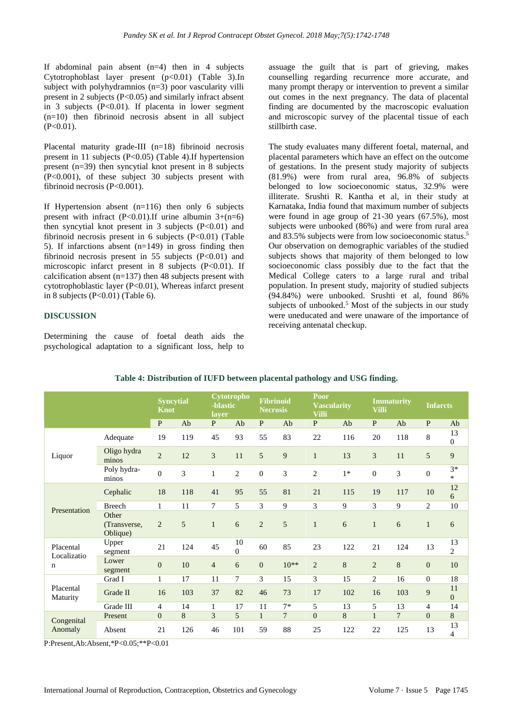If abdominal pain absent  $(n=4)$  then in 4 subjects Cytotrophoblast layer present  $(p<0.01)$  (Table 3).In subject with polyhydramnios (n=3) poor vascularity villi present in 2 subjects (P<0.05) and similarly infract absent in 3 subjects (P<0.01). If placenta in lower segment (n=10) then fibrinoid necrosis absent in all subject  $(P<0.01)$ .

Placental maturity grade-III  $(n=18)$  fibrinoid necrosis present in 11 subjects (P<0.05) (Table 4).If hypertension present (n=39) then syncytial knot present in 8 subjects (P<0.001), of these subject 30 subjects present with fibrinoid necrosis (P<0.001).

If Hypertension absent  $(n=116)$  then only 6 subjects present with infract  $(P<0.01)$ . If urine albumin  $3+(n=6)$ then syncytial knot present in 3 subjects  $(P<0.01)$  and fibrinoid necrosis present in 6 subjects  $(P<0.01)$  (Table 5). If infarctions absent  $(n=149)$  in gross finding then fibrinoid necrosis present in 55 subjects  $(P<0.01)$  and microscopic infarct present in 8 subjects (P<0.01). If calcification absent  $(n=137)$  then 48 subjects present with cytotrophoblastic layer (P<0.01), Whereas infarct present in 8 subjects (P<0.01) (Table 6).

#### **DISCUSSION**

Determining the cause of foetal death aids the psychological adaptation to a significant loss, help to assuage the guilt that is part of grieving, makes counselling regarding recurrence more accurate, and many prompt therapy or intervention to prevent a similar out comes in the next pregnancy. The data of placental finding are documented by the macroscopic evaluation and microscopic survey of the placental tissue of each stillbirth case.

The study evaluates many different foetal, maternal, and placental parameters which have an effect on the outcome of gestations. In the present study majority of subjects (81.9%) were from rural area, 96.8% of subjects belonged to low socioeconomic status, 32.9% were illiterate. Srushti R. Kantha et al, in their study at Karnataka, India found that maximum number of subjects were found in age group of 21-30 years (67.5%), most subjects were unbooked (86%) and were from rural area and 83.5% subjects were from low socioeconomic status.<sup>5</sup> Our observation on demographic variables of the studied subjects shows that majority of them belonged to low socioeconomic class possibly due to the fact that the Medical College caters to a large rural and tribal population. In present study, majority of studied subjects (94.84%) were unbooked. Srushti et al, found 86% subjects of unbooked.<sup>5</sup> Most of the subjects in our study were uneducated and were unaware of the importance of receiving antenatal checkup.

|                       |                                   |                  | <b>Syncytial</b><br><b>Knot</b> |                | Cytotropho<br>-blastic<br>layer |                  | <b>Fibrinoid</b><br><b>Necrosis</b> |                | Poor<br><b>Vascularity</b><br><b>Villi</b> |                | <b>Immaturity</b><br><b>Villi</b> |                  | <b>Infarcts</b>      |
|-----------------------|-----------------------------------|------------------|---------------------------------|----------------|---------------------------------|------------------|-------------------------------------|----------------|--------------------------------------------|----------------|-----------------------------------|------------------|----------------------|
|                       |                                   | $\mathbf{P}$     | Ab                              | P              | Ab                              | $\mathbf{P}$     | Ab                                  | $\mathbf{P}$   | Ab                                         | $\mathbf{P}$   | Ab                                | $\mathbf{P}$     | Ab                   |
| Liquor                | Adequate                          | 19               | 119                             | 45             | 93                              | 55               | 83                                  | 22             | 116                                        | 20             | 118                               | 8                | 13<br>0              |
|                       | Oligo hydra<br>minos              | $\overline{c}$   | 12                              | 3              | 11                              | 5                | 9                                   | $\mathbf{1}$   | 13                                         | 3              | 11                                | 5                | 9                    |
|                       | Poly hydra-<br>minos              | $\boldsymbol{0}$ | 3                               | $\mathbf{1}$   | $\overline{c}$                  | $\boldsymbol{0}$ | 3                                   | $\mathfrak{2}$ | $1*$                                       | $\overline{0}$ | 3                                 | $\boldsymbol{0}$ | $3*$<br>$\ast$       |
| Presentation          | Cephalic                          | 18               | 118                             | 41             | 95                              | 55               | 81                                  | 21             | 115                                        | 19             | 117                               | 10               | 12<br>6              |
|                       | <b>Breech</b>                     | 1                | 11                              | $\overline{7}$ | 5                               | 3                | 9                                   | 3              | 9                                          | 3              | 9                                 | $\overline{c}$   | 10                   |
|                       | Other<br>(Transverse,<br>Oblique) | $\overline{2}$   | 5                               | $\mathbf{1}$   | 6                               | $\overline{2}$   | 5                                   | $\mathbf{1}$   | 6                                          | $\mathbf{1}$   | 6                                 | $\mathbf{1}$     | 6                    |
| Placental             | Upper<br>segment                  | 21               | 124                             | 45             | 10<br>$\Omega$                  | 60               | 85                                  | 23             | 122                                        | 21             | 124                               | 13               | 13<br>$\overline{2}$ |
| Localizatio<br>n      | Lower<br>segment                  | $\boldsymbol{0}$ | 10                              | $\overline{4}$ | 6                               | $\overline{0}$   | $10**$                              | $\overline{2}$ | 8                                          | $\overline{2}$ | 8                                 | $\overline{0}$   | 10                   |
|                       | Grad I                            | $\mathbf{1}$     | 17                              | 11             | 7                               | 3                | 15                                  | 3              | 15                                         | 2              | 16                                | $\overline{0}$   | 18                   |
| Placental<br>Maturity | Grade II                          | 16               | 103                             | 37             | 82                              | 46               | 73                                  | 17             | 102                                        | 16             | 103                               | 9                | 11<br>$\overline{0}$ |
|                       | Grade III                         | $\overline{4}$   | 14                              | 1              | 17                              | 11               | $7*$                                | 5              | 13                                         | 5              | 13                                | 4                | 14                   |
|                       | Present                           | $\mathbf{0}$     | 8                               | $\overline{3}$ | 5                               | $\mathbf{1}$     | 7                                   | $\overline{0}$ | 8                                          | $\mathbf{1}$   | $\overline{7}$                    | $\overline{0}$   | 8                    |
| Congenital<br>Anomaly | Absent                            | 21               | 126                             | 46             | 101                             | 59               | 88                                  | 25             | 122                                        | 22             | 125                               | 13               | 13<br>$\overline{4}$ |

**Table 4: Distribution of IUFD between placental pathology and USG finding.**

P:Present,Ab:Absent,\*P<0.05;\*\*P<0.01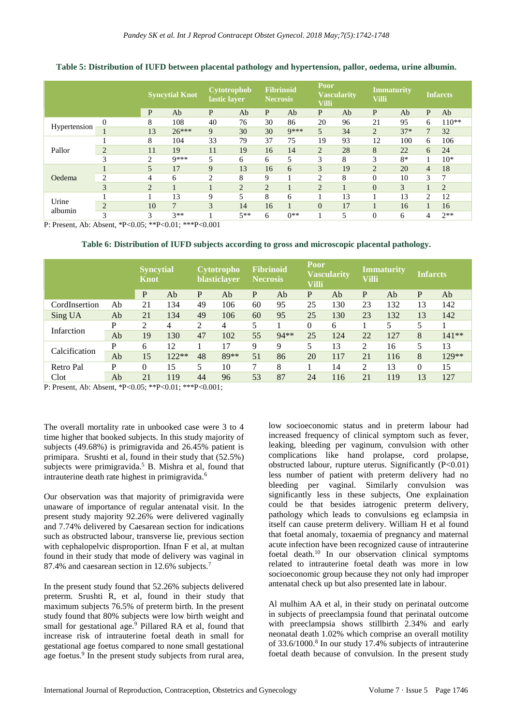|                  |                |                | <b>Syncytial Knot</b> | Cytotrophob<br>lastic layer |                | <b>Fibrinoid</b><br><b>Necrosis</b> |         | Poor<br><b>Vascularity</b><br><b>Villi</b> |    | <b>Immaturity</b><br>Villi |       | Infarcts       |                |
|------------------|----------------|----------------|-----------------------|-----------------------------|----------------|-------------------------------------|---------|--------------------------------------------|----|----------------------------|-------|----------------|----------------|
|                  |                | P              | Ab                    | P                           | Ab             | P                                   | Ab      | P                                          | Ab | P                          | Ab    | P              | Ab             |
| Hypertension     | $\Omega$       | 8              | 108                   | 40                          | 76             | 30                                  | 86      | 20                                         | 96 | 21                         | 95    | 6              | $110**$        |
|                  |                | 13             | $26***$               | 9                           | 30             | 30                                  | $Q$ *** | 5                                          | 34 | $\overline{2}$             | $37*$ | $\overline{7}$ | 32             |
| Pallor           |                | 8              | 104                   | 33                          | 79             | 37                                  | 75      | 19                                         | 93 | 12                         | 100   | 6              | 106            |
|                  | $\overline{2}$ | 11             | 19                    | 11                          | 19             | 16                                  | 14      | $\overline{2}$                             | 28 | 8                          | 22    | 6              | 24             |
|                  | 3              | 2              | $Q$ ***               | 5                           | 6              | 6                                   | 5       | 3                                          | 8  | 3                          | $8*$  |                | $10*$          |
|                  |                | 5              | 17                    | 9                           | 13             | 16                                  | 6       | 3                                          | 19 | $\overline{2}$             | 20    | $\overline{4}$ | 18             |
| Oedema           | $\overline{2}$ | 4              | 6                     | 2                           | 8              | 9                                   |         | 2                                          | 8  | $\Omega$                   | 10    | 3              | 7              |
|                  | 3              | $\overline{2}$ |                       |                             | $\overline{2}$ | $\overline{2}$                      |         | $\overline{2}$                             |    | $\Omega$                   | 3     |                | $\overline{2}$ |
|                  |                |                | 13                    | 9                           | 5              | 8                                   | 6       |                                            | 13 |                            | 13    | 2              | 12             |
| Urine<br>albumin | $\overline{2}$ | 10             | 7                     | 3                           | 14             | 16                                  |         | $\overline{0}$                             | 17 |                            | 16    |                | 16             |
|                  | 3              | 3              | $3**$                 |                             | $5**$          | 6                                   | $0**$   |                                            | 5  | $\Omega$                   | 6     | 4              | $2**$          |

**Table 5: Distribution of IUFD between placental pathology and hypertension, pallor, oedema, urine albumin.**

P: Present, Ab: Absent, \*P<0.05; \*\*P<0.01; \*\*\*P<0.001

**Table 6: Distribution of IUFD subjects according to gross and microscopic placental pathology.**

|               |    | <b>Syncytial</b><br><b>Knot</b> |         | <b>Cytotropho</b><br>blasticlayer |      | <b>Fibrinoid</b><br><b>Necrosis</b> |       | Poor<br><b>Vascularity</b><br><b>Villi</b> |     | <b>Immaturity</b><br>Villi |     | <b>Infarcts</b> |         |
|---------------|----|---------------------------------|---------|-----------------------------------|------|-------------------------------------|-------|--------------------------------------------|-----|----------------------------|-----|-----------------|---------|
|               |    | P                               | Ab      | P                                 | Ab   | P                                   | Ab    | P                                          | Ab  | $\overline{P}$             | Ab  | $\mathbf{P}$    | Ab      |
| CordInsertion | Ab | 21                              | 134     | 49                                | 106  | 60                                  | 95    | 25                                         | 130 | 23                         | 132 | 13              | 142     |
| Sing UA       | Ab | 21                              | 134     | 49                                | 106  | 60                                  | 95    | 25                                         | 130 | 23                         | 132 | 13              | 142     |
|               | P  | $\overline{c}$                  | 4       | 2                                 | 4    | 5                                   |       | $\theta$                                   | 6   |                            | 5   | 5               |         |
| Infarction    | Ab | 19                              | 130     | 47                                | 102  | 55                                  | 94 ** | 25                                         | 124 | 22                         | 127 | 8               | $141**$ |
|               | P  | 6                               | 12      |                                   | 17   | 9                                   | 9     | 5                                          | 13  | 2                          | 16  | 5               | 13      |
| Calcification | Ab | 15                              | $122**$ | 48                                | 89** | 51                                  | 86    | 20                                         | 117 | 21                         | 116 | 8               | 129**   |
| Retro Pal     | P  | $\theta$                        | 15      | 5                                 | 10   | 7                                   | 8     |                                            | 14  | 2                          | 13  | $\Omega$        | 15      |
| Clot          | Ab | 21                              | 119     | 44                                | 96   | 53                                  | 87    | 24                                         | 116 | 21                         | 119 | 13              | 127     |

P: Present, Ab: Absent, \*P<0.05; \*\*P<0.01; \*\*\*P<0.001;

The overall mortality rate in unbooked case were 3 to 4 time higher that booked subjects. In this study majority of subjects (49.68%) is primigravida and 26.45% patient is primipara. Srushti et al, found in their study that (52.5%) subjects were primigravida.<sup>5</sup> B. Mishra et al, found that intrauterine death rate highest in primigravida.<sup>6</sup>

Our observation was that majority of primigravida were unaware of importance of regular antenatal visit. In the present study majority 92.26% were delivered vaginally and 7.74% delivered by Caesarean section for indications such as obstructed labour, transverse lie, previous section with cephalopelvic disproportion. If an F et al, at multan found in their study that mode of delivery was vaginal in 87.4% and caesarean section in 12.6% subjects.<sup>7</sup>

In the present study found that 52.26% subjects delivered preterm. Srushti R, et al, found in their study that maximum subjects 76.5% of preterm birth. In the present study found that 80% subjects were low birth weight and small for gestational age.<sup>9</sup> Pillared RA et al, found that increase risk of intrauterine foetal death in small for gestational age foetus compared to none small gestational age foetus.<sup>9</sup> In the present study subjects from rural area, low socioeconomic status and in preterm labour had increased frequency of clinical symptom such as fever, leaking, bleeding per vaginum, convulsion with other complications like hand prolapse, cord prolapse, obstructed labour, rupture uterus. Significantly (P<0.01) less number of patient with preterm delivery had no bleeding per vaginal. Similarly convulsion was significantly less in these subjects, One explaination could be that besides iatrogenic preterm delivery, pathology which leads to convulsions eg eclampsia in itself can cause preterm delivery. William H et al found that foetal anomaly, toxaemia of pregnancy and maternal acute infection have been recognized cause of intrauterine foetal death.<sup>10</sup> In our observation clinical symptoms related to intrauterine foetal death was more in low socioeconomic group because they not only had improper antenatal check up but also presented late in labour.

Al mulhim AA et al, in their study on perinatal outcome in subjects of preeclampsia found that perinatal outcome with preeclampsia shows stillbirth 2.34% and early neonatal death 1.02% which comprise an overall motility of 33.6/1000.<sup>8</sup> In our study 17.4% subjects of intrauterine foetal death because of convulsion. In the present study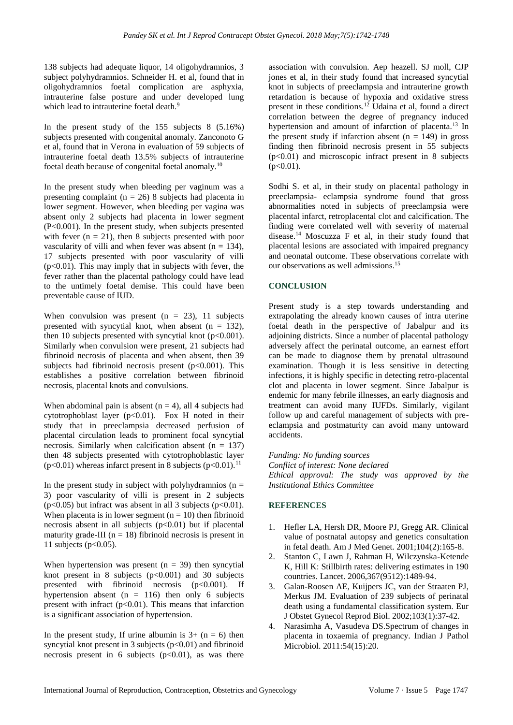138 subjects had adequate liquor, 14 oligohydramnios, 3 subject polyhydramnios. Schneider H. et al, found that in oligohydramnios foetal complication are asphyxia, intrauterine false posture and under developed lung which lead to intrauterine foetal death.<sup>9</sup>

In the present study of the 155 subjects 8 (5.16%) subjects presented with congenital anomaly. Zanconoto G et al, found that in Verona in evaluation of 59 subjects of intrauterine foetal death 13.5% subjects of intrauterine foetal death because of congenital foetal anomaly.<sup>10</sup>

In the present study when bleeding per vaginum was a presenting complaint ( $n = 26$ ) 8 subjects had placenta in lower segment. However, when bleeding per vagina was absent only 2 subjects had placenta in lower segment (P<0.001). In the present study, when subjects presented with fever  $(n = 21)$ , then 8 subjects presented with poor vascularity of villi and when fever was absent  $(n = 134)$ , 17 subjects presented with poor vascularity of villi  $(p<0.01)$ . This may imply that in subjects with fever, the fever rather than the placental pathology could have lead to the untimely foetal demise. This could have been preventable cause of IUD.

When convulsion was present  $(n = 23)$ , 11 subjects presented with syncytial knot, when absent  $(n = 132)$ , then 10 subjects presented with syncytial knot  $(p<0.001)$ . Similarly when convulsion were present, 21 subjects had fibrinoid necrosis of placenta and when absent, then 39 subjects had fibrinoid necrosis present  $(p<0.001)$ . This establishes a positive correlation between fibrinoid necrosis, placental knots and convulsions.

When abdominal pain is absent  $(n = 4)$ , all 4 subjects had cytotrophoblast layer  $(p<0.01)$ . Fox H noted in their study that in preeclampsia decreased perfusion of placental circulation leads to prominent focal syncytial necrosis. Similarly when calcification absent  $(n = 137)$ then 48 subjects presented with cytotrophoblastic layer ( $p<0.01$ ) whereas infarct present in 8 subjects ( $p<0.01$ ).<sup>11</sup>

In the present study in subject with polyhydramnios ( $n =$ 3) poor vascularity of villi is present in 2 subjects ( $p<0.05$ ) but infract was absent in all 3 subjects ( $p<0.01$ ). When placenta is in lower segment  $(n = 10)$  then fibrinoid necrosis absent in all subjects  $(p<0.01)$  but if placental maturity grade-III ( $n = 18$ ) fibrinoid necrosis is present in 11 subjects ( $p<0.05$ ).

When hypertension was present  $(n = 39)$  then syncytial knot present in 8 subjects  $(p<0.001)$  and 30 subjects presented with fibrinoid necrosis  $(p<0.001)$ . If hypertension absent ( $n = 116$ ) then only 6 subjects present with infract  $(p<0.01)$ . This means that infarction is a significant association of hypertension.

In the present study, If urine albumin is  $3+ (n = 6)$  then syncytial knot present in 3 subjects  $(p<0.01)$  and fibrinoid necrosis present in 6 subjects  $(p<0.01)$ , as was there association with convulsion. Aep heazell. SJ moll, CJP jones et al, in their study found that increased syncytial knot in subjects of preeclampsia and intrauterine growth retardation is because of hypoxia and oxidative stress present in these conditions. <sup>12</sup> Udaina et al, found a direct correlation between the degree of pregnancy induced hypertension and amount of infarction of placenta.<sup>13</sup> In the present study if infarction absent  $(n = 149)$  in gross finding then fibrinoid necrosis present in 55 subjects  $(p<0.01)$  and microscopic infract present in 8 subjects  $(p<0.01)$ .

Sodhi S. et al, in their study on placental pathology in preeclampsia- eclampsia syndrome found that gross abnormalities noted in subjects of preeclampsia were placental infarct, retroplacental clot and calcification. The finding were correlated well with severity of maternal disease.<sup>14</sup> Moscuzza F et al, in their study found that placental lesions are associated with impaired pregnancy and neonatal outcome. These observations correlate with our observations as well admissions. 15

# **CONCLUSION**

Present study is a step towards understanding and extrapolating the already known causes of intra uterine foetal death in the perspective of Jabalpur and its adioining districts. Since a number of placental pathology adversely affect the perinatal outcome, an earnest effort can be made to diagnose them by prenatal ultrasound examination. Though it is less sensitive in detecting infections, it is highly specific in detecting retro-placental clot and placenta in lower segment. Since Jabalpur is endemic for many febrile illnesses, an early diagnosis and treatment can avoid many IUFDs. Similarly, vigilant follow up and careful management of subjects with preeclampsia and postmaturity can avoid many untoward accidents.

*Funding: No funding sources Conflict of interest: None declared Ethical approval: The study was approved by the Institutional Ethics Committee*

# **REFERENCES**

- 1. Hefler LA, Hersh DR, Moore PJ, Gregg AR. Clinical value of postnatal autopsy and genetics consultation in fetal death. Am J Med Genet. 2001;104(2):165-8.
- 2. Stanton C, Lawn J, Rahman H, Wilczynska-Ketende K, Hill K: Stillbirth rates: delivering estimates in 190 countries. Lancet. 2006,367(9512):1489-94.
- 3. Galan-Roosen AE, Kuijpers JC, van der Straaten PJ, Merkus JM. Evaluation of 239 subjects of perinatal death using a fundamental classification system. Eur J Obstet Gynecol Reprod Biol. 2002;103(1):37-42.
- 4. Narasimha A, Vasudeva DS.Spectrum of changes in placenta in toxaemia of pregnancy. Indian J Pathol Microbiol. 2011:54(15):20.